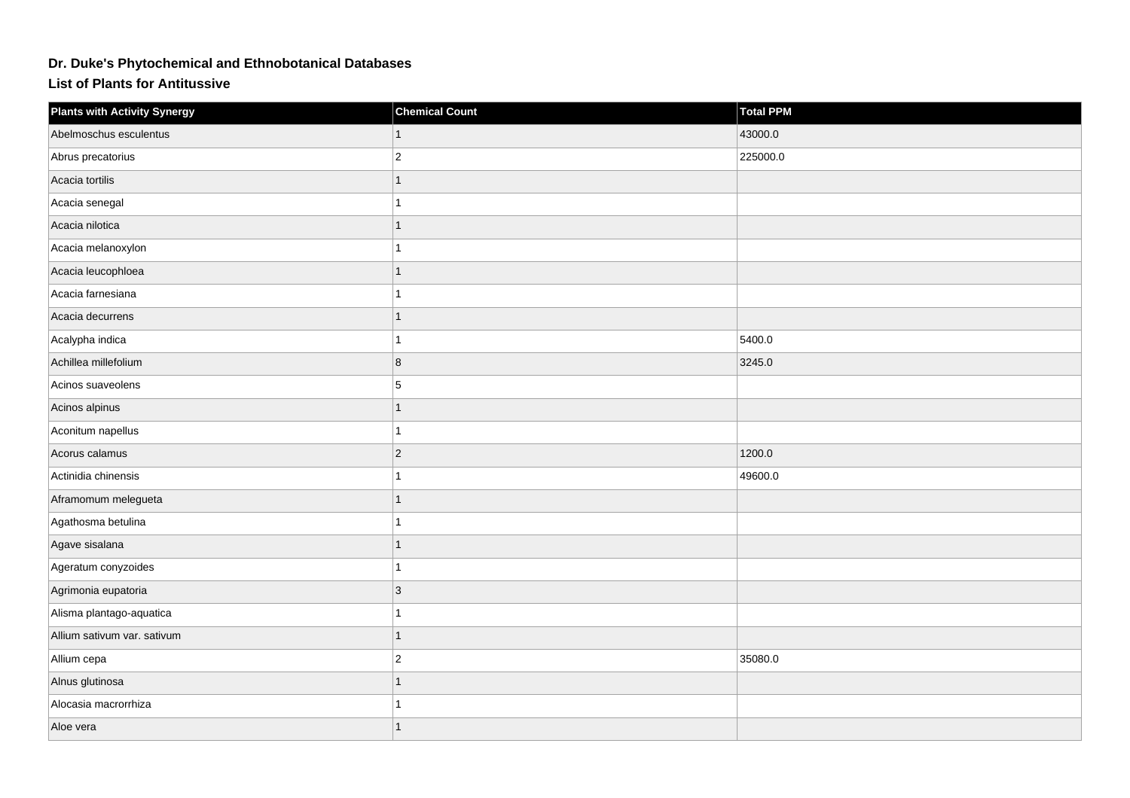## **Dr. Duke's Phytochemical and Ethnobotanical Databases**

## **List of Plants for Antitussive**

| <b>Plants with Activity Synergy</b> | <b>Chemical Count</b> | <b>Total PPM</b> |
|-------------------------------------|-----------------------|------------------|
| Abelmoschus esculentus              |                       | 43000.0          |
| Abrus precatorius                   | $\overline{c}$        | 225000.0         |
| Acacia tortilis                     | 1                     |                  |
| Acacia senegal                      |                       |                  |
| Acacia nilotica                     | 1                     |                  |
| Acacia melanoxylon                  |                       |                  |
| Acacia leucophloea                  |                       |                  |
| Acacia farnesiana                   |                       |                  |
| Acacia decurrens                    | 1                     |                  |
| Acalypha indica                     |                       | 5400.0           |
| Achillea millefolium                | 8                     | 3245.0           |
| Acinos suaveolens                   | 5                     |                  |
| Acinos alpinus                      |                       |                  |
| Aconitum napellus                   |                       |                  |
| Acorus calamus                      | $\overline{2}$        | 1200.0           |
| Actinidia chinensis                 | 1                     | 49600.0          |
| Aframomum melegueta                 | 1                     |                  |
| Agathosma betulina                  |                       |                  |
| Agave sisalana                      |                       |                  |
| Ageratum conyzoides                 |                       |                  |
| Agrimonia eupatoria                 | 3                     |                  |
| Alisma plantago-aquatica            | 1                     |                  |
| Allium sativum var. sativum         | 1                     |                  |
| Allium cepa                         | $\overline{2}$        | 35080.0          |
| Alnus glutinosa                     | 1                     |                  |
| Alocasia macrorrhiza                |                       |                  |
| Aloe vera                           | 1                     |                  |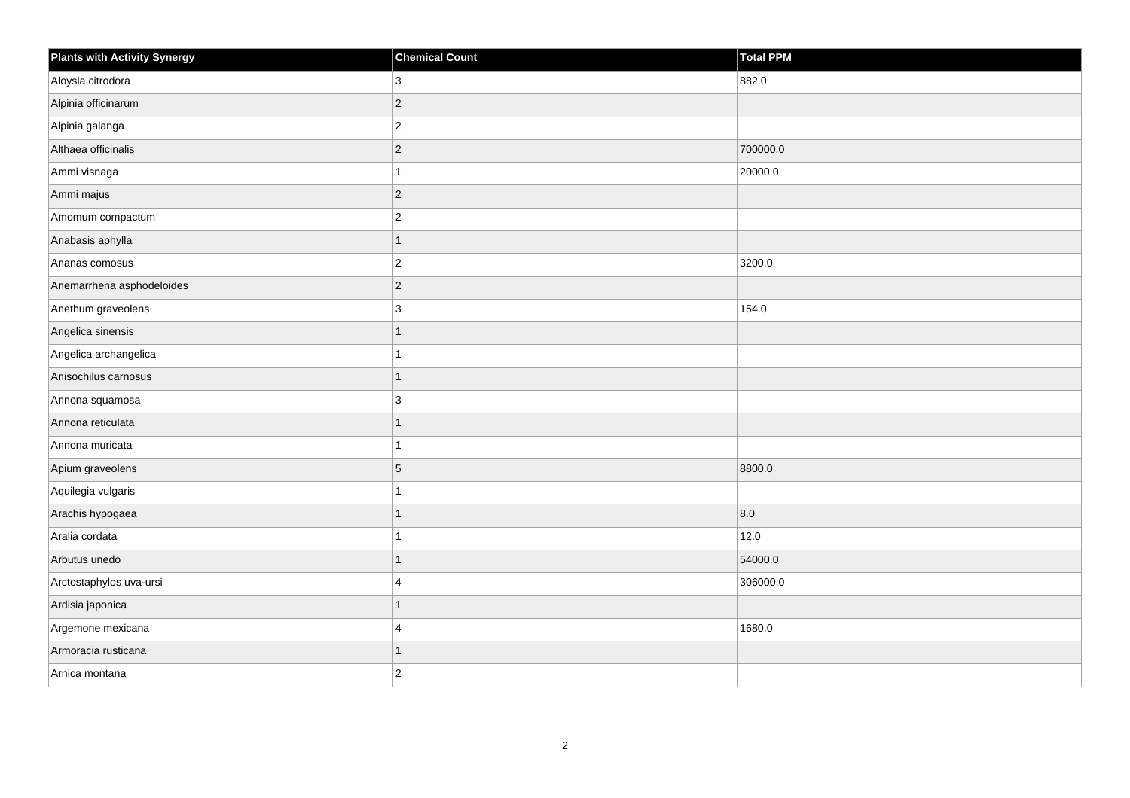| <b>Plants with Activity Synergy</b> | <b>Chemical Count</b> | <b>Total PPM</b> |
|-------------------------------------|-----------------------|------------------|
| Aloysia citrodora                   | 3                     | 882.0            |
| Alpinia officinarum                 | $\overline{2}$        |                  |
| Alpinia galanga                     | $\overline{c}$        |                  |
| Althaea officinalis                 | $\overline{2}$        | 700000.0         |
| Ammi visnaga                        |                       | 20000.0          |
| Ammi majus                          | $\overline{2}$        |                  |
| Amomum compactum                    | $\overline{2}$        |                  |
| Anabasis aphylla                    |                       |                  |
| Ananas comosus                      | $\overline{c}$        | 3200.0           |
| Anemarrhena asphodeloides           | $\overline{2}$        |                  |
| Anethum graveolens                  | 3                     | 154.0            |
| Angelica sinensis                   |                       |                  |
| Angelica archangelica               |                       |                  |
| Anisochilus carnosus                | 1                     |                  |
| Annona squamosa                     | 3                     |                  |
| Annona reticulata                   | 1                     |                  |
| Annona muricata                     |                       |                  |
| Apium graveolens                    | 5                     | 8800.0           |
| Aquilegia vulgaris                  | 1                     |                  |
| Arachis hypogaea                    |                       | 8.0              |
| Aralia cordata                      |                       | 12.0             |
| Arbutus unedo                       | 1                     | 54000.0          |
| Arctostaphylos uva-ursi             | 4                     | 306000.0         |
| Ardisia japonica                    |                       |                  |
| Argemone mexicana                   | 4                     | 1680.0           |
| Armoracia rusticana                 | 1                     |                  |
| Arnica montana                      | $\overline{2}$        |                  |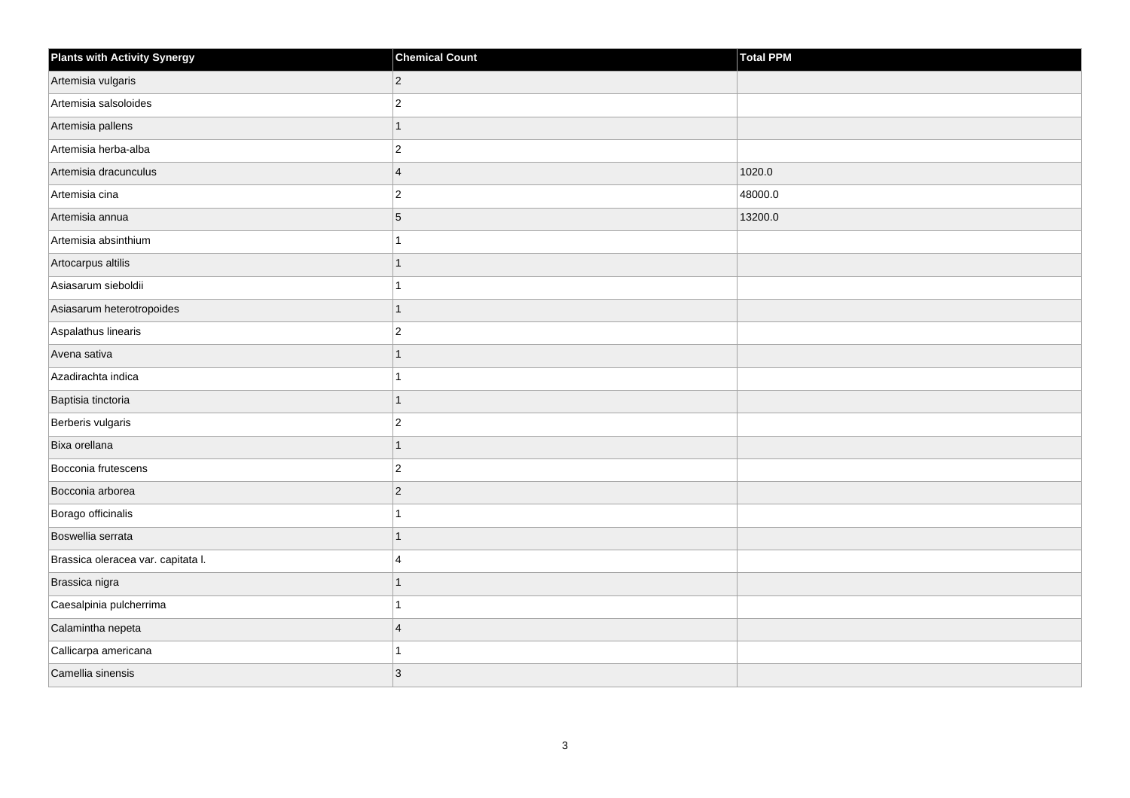| <b>Plants with Activity Synergy</b> | <b>Chemical Count</b>   | <b>Total PPM</b> |
|-------------------------------------|-------------------------|------------------|
| Artemisia vulgaris                  | $\overline{2}$          |                  |
| Artemisia salsoloides               | $\overline{2}$          |                  |
| Artemisia pallens                   | 1                       |                  |
| Artemisia herba-alba                | $\overline{2}$          |                  |
| Artemisia dracunculus               | $\overline{\mathbf{A}}$ | 1020.0           |
| Artemisia cina                      | $\overline{c}$          | 48000.0          |
| Artemisia annua                     | 5                       | 13200.0          |
| Artemisia absinthium                |                         |                  |
| Artocarpus altilis                  |                         |                  |
| Asiasarum sieboldii                 |                         |                  |
| Asiasarum heterotropoides           | 1                       |                  |
| Aspalathus linearis                 | $\overline{2}$          |                  |
| Avena sativa                        | 1                       |                  |
| Azadirachta indica                  |                         |                  |
| Baptisia tinctoria                  | 1                       |                  |
| Berberis vulgaris                   | $\overline{2}$          |                  |
| Bixa orellana                       | 1                       |                  |
| Bocconia frutescens                 | $\overline{2}$          |                  |
| Bocconia arborea                    | $\overline{2}$          |                  |
| Borago officinalis                  |                         |                  |
| Boswellia serrata                   |                         |                  |
| Brassica oleracea var. capitata I.  | $\boldsymbol{\Delta}$   |                  |
| Brassica nigra                      |                         |                  |
| Caesalpinia pulcherrima             |                         |                  |
| Calamintha nepeta                   | $\overline{4}$          |                  |
| Callicarpa americana                |                         |                  |
| Camellia sinensis                   | 3                       |                  |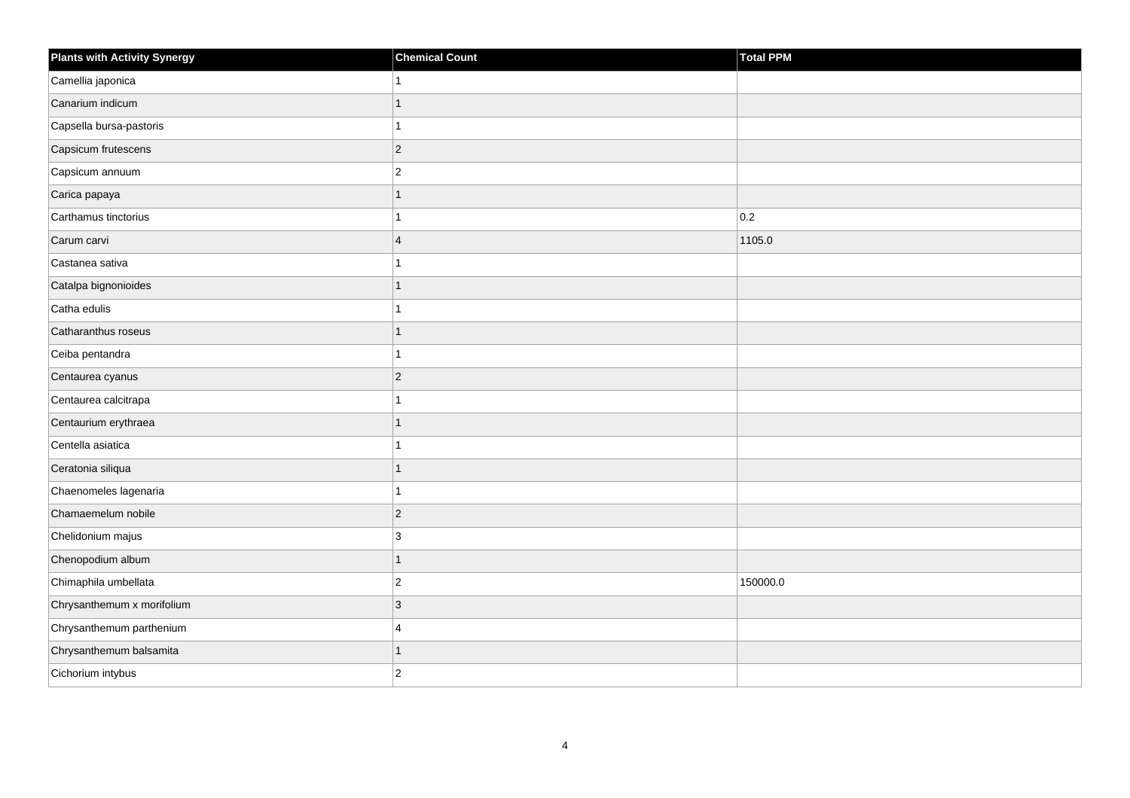| <b>Plants with Activity Synergy</b> | <b>Chemical Count</b>   | Total PPM |
|-------------------------------------|-------------------------|-----------|
| Camellia japonica                   |                         |           |
| Canarium indicum                    | 1                       |           |
| Capsella bursa-pastoris             | 1                       |           |
| Capsicum frutescens                 | $ 2\rangle$             |           |
| Capsicum annuum                     | $\overline{2}$          |           |
| Carica papaya                       | 1                       |           |
| Carthamus tinctorius                | 1                       | 0.2       |
| Carum carvi                         | $\overline{\mathbf{4}}$ | 1105.0    |
| Castanea sativa                     | 1                       |           |
| Catalpa bignonioides                | 1                       |           |
| Catha edulis                        | 1                       |           |
| Catharanthus roseus                 | 1                       |           |
| Ceiba pentandra                     | 1                       |           |
| Centaurea cyanus                    | $\sqrt{2}$              |           |
| Centaurea calcitrapa                | 1                       |           |
| Centaurium erythraea                | 1                       |           |
| Centella asiatica                   | 1                       |           |
| Ceratonia siliqua                   | 1                       |           |
| Chaenomeles lagenaria               | 1                       |           |
| Chamaemelum nobile                  | $ 2\rangle$             |           |
| Chelidonium majus                   | 3                       |           |
| Chenopodium album                   | 1                       |           |
| Chimaphila umbellata                | $\overline{2}$          | 150000.0  |
| Chrysanthemum x morifolium          | 3                       |           |
| Chrysanthemum parthenium            | 4                       |           |
| Chrysanthemum balsamita             | 1                       |           |
| Cichorium intybus                   | $\overline{2}$          |           |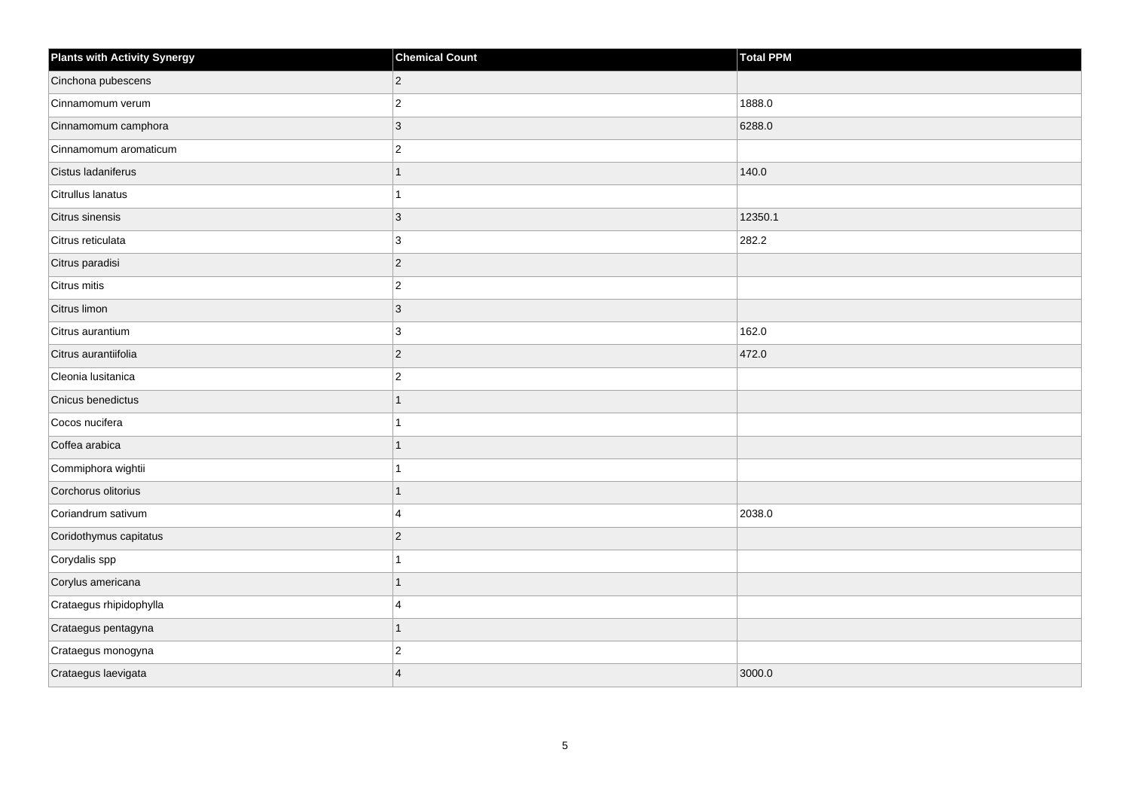| Plants with Activity Synergy | <b>Chemical Count</b> | Total PPM |
|------------------------------|-----------------------|-----------|
| Cinchona pubescens           | $\overline{2}$        |           |
| Cinnamomum verum             | $\overline{c}$        | 1888.0    |
| Cinnamomum camphora          | $\overline{3}$        | 6288.0    |
| Cinnamomum aromaticum        | $\overline{2}$        |           |
| Cistus ladaniferus           | 1                     | 140.0     |
| Citrullus lanatus            |                       |           |
| Citrus sinensis              | 3                     | 12350.1   |
| Citrus reticulata            | 3                     | 282.2     |
| Citrus paradisi              | $\overline{2}$        |           |
| Citrus mitis                 | $\overline{2}$        |           |
| Citrus limon                 | 3                     |           |
| Citrus aurantium             | 3                     | 162.0     |
| Citrus aurantiifolia         | $\overline{2}$        | 472.0     |
| Cleonia lusitanica           | $\overline{2}$        |           |
| Cnicus benedictus            | 1                     |           |
| Cocos nucifera               |                       |           |
| Coffea arabica               |                       |           |
| Commiphora wightii           |                       |           |
| Corchorus olitorius          | 1                     |           |
| Coriandrum sativum           | $\Delta$              | 2038.0    |
| Coridothymus capitatus       | $\overline{2}$        |           |
| Corydalis spp                |                       |           |
| Corylus americana            |                       |           |
| Crataegus rhipidophylla      | $\boldsymbol{\Delta}$ |           |
| Crataegus pentagyna          | $\overline{1}$        |           |
| Crataegus monogyna           | $\overline{2}$        |           |
| Crataegus laevigata          | $\overline{A}$        | 3000.0    |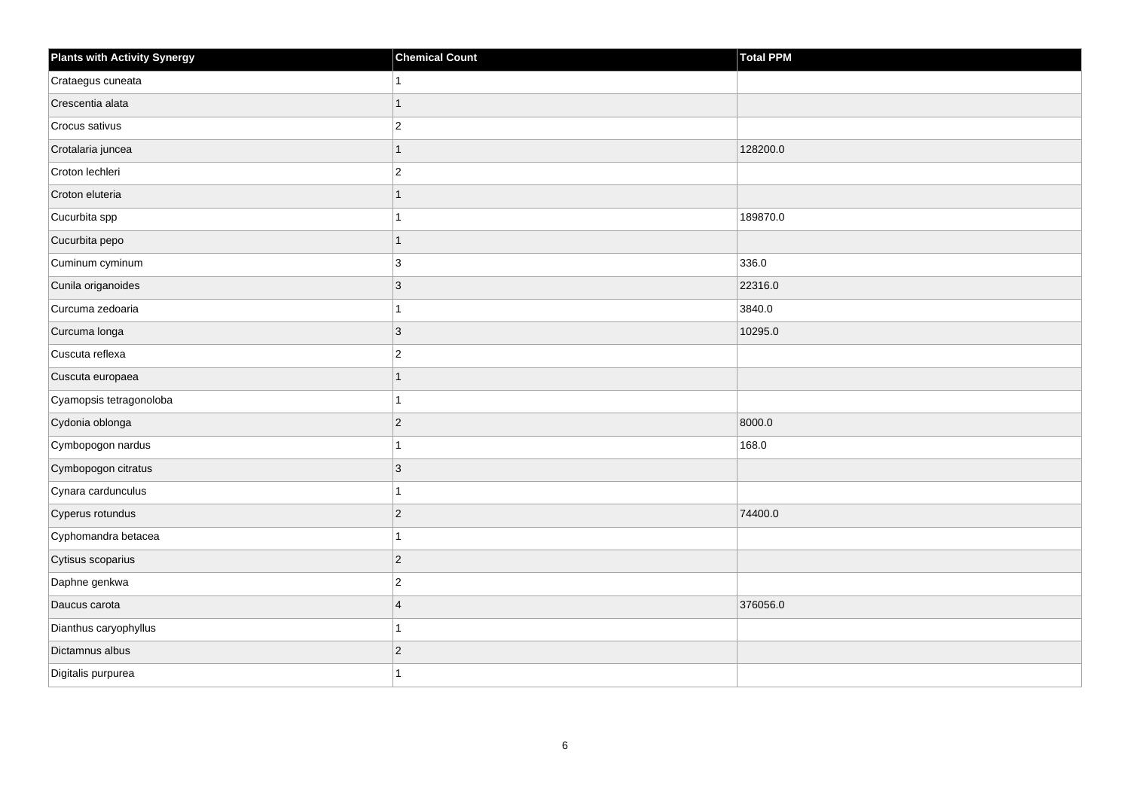| <b>Plants with Activity Synergy</b> | <b>Chemical Count</b> | <b>Total PPM</b> |
|-------------------------------------|-----------------------|------------------|
| Crataegus cuneata                   |                       |                  |
| Crescentia alata                    |                       |                  |
| Crocus sativus                      | $\overline{c}$        |                  |
| Crotalaria juncea                   | 1                     | 128200.0         |
| Croton lechleri                     | $\overline{2}$        |                  |
| Croton eluteria                     |                       |                  |
| Cucurbita spp                       |                       | 189870.0         |
| Cucurbita pepo                      |                       |                  |
| Cuminum cyminum                     | 3                     | 336.0            |
| Cunila origanoides                  | $\overline{3}$        | 22316.0          |
| Curcuma zedoaria                    |                       | 3840.0           |
| Curcuma longa                       | 3                     | 10295.0          |
| Cuscuta reflexa                     | $\overline{a}$        |                  |
| Cuscuta europaea                    | 1                     |                  |
| Cyamopsis tetragonoloba             |                       |                  |
| Cydonia oblonga                     | $\overline{2}$        | 8000.0           |
| Cymbopogon nardus                   |                       | 168.0            |
| Cymbopogon citratus                 | 3                     |                  |
| Cynara cardunculus                  | 1                     |                  |
| Cyperus rotundus                    | $\overline{2}$        | 74400.0          |
| Cyphomandra betacea                 |                       |                  |
| Cytisus scoparius                   | $\overline{c}$        |                  |
| Daphne genkwa                       | $\overline{2}$        |                  |
| Daucus carota                       | $\overline{4}$        | 376056.0         |
| Dianthus caryophyllus               |                       |                  |
| Dictamnus albus                     | $\overline{a}$        |                  |
| Digitalis purpurea                  |                       |                  |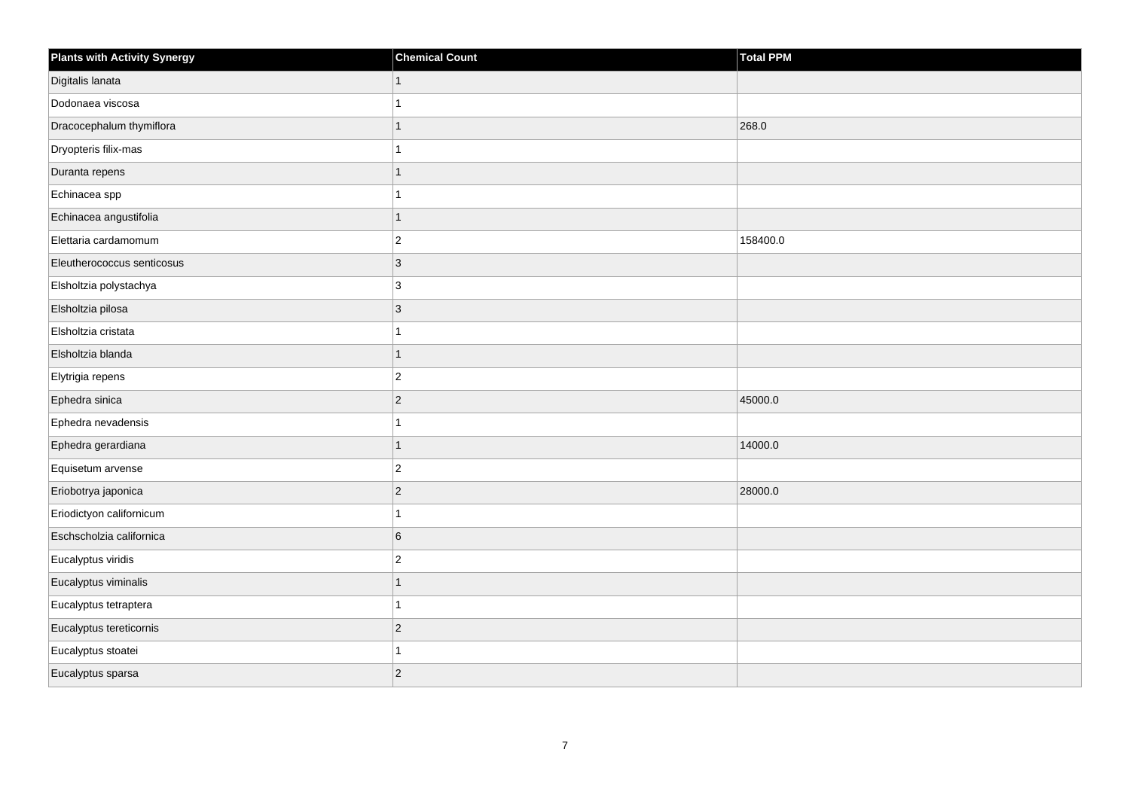| <b>Plants with Activity Synergy</b> | <b>Chemical Count</b> | Total PPM |
|-------------------------------------|-----------------------|-----------|
| Digitalis lanata                    |                       |           |
| Dodonaea viscosa                    |                       |           |
| Dracocephalum thymiflora            |                       | 268.0     |
| Dryopteris filix-mas                |                       |           |
| Duranta repens                      |                       |           |
| Echinacea spp                       |                       |           |
| Echinacea angustifolia              | 1                     |           |
| Elettaria cardamomum                | $\overline{2}$        | 158400.0  |
| Eleutherococcus senticosus          | 3                     |           |
| Elsholtzia polystachya              | 3                     |           |
| Elsholtzia pilosa                   | 3                     |           |
| Elsholtzia cristata                 |                       |           |
| Elsholtzia blanda                   | $\overline{1}$        |           |
| Elytrigia repens                    | $\overline{2}$        |           |
| Ephedra sinica                      | $\overline{2}$        | 45000.0   |
| Ephedra nevadensis                  |                       |           |
| Ephedra gerardiana                  | 1                     | 14000.0   |
| Equisetum arvense                   | $\overline{2}$        |           |
| Eriobotrya japonica                 | $\overline{2}$        | 28000.0   |
| Eriodictyon californicum            |                       |           |
| Eschscholzia californica            | 6                     |           |
| Eucalyptus viridis                  | $\overline{c}$        |           |
| Eucalyptus viminalis                |                       |           |
| Eucalyptus tetraptera               |                       |           |
| Eucalyptus tereticornis             | $\overline{2}$        |           |
| Eucalyptus stoatei                  |                       |           |
| Eucalyptus sparsa                   | $\overline{2}$        |           |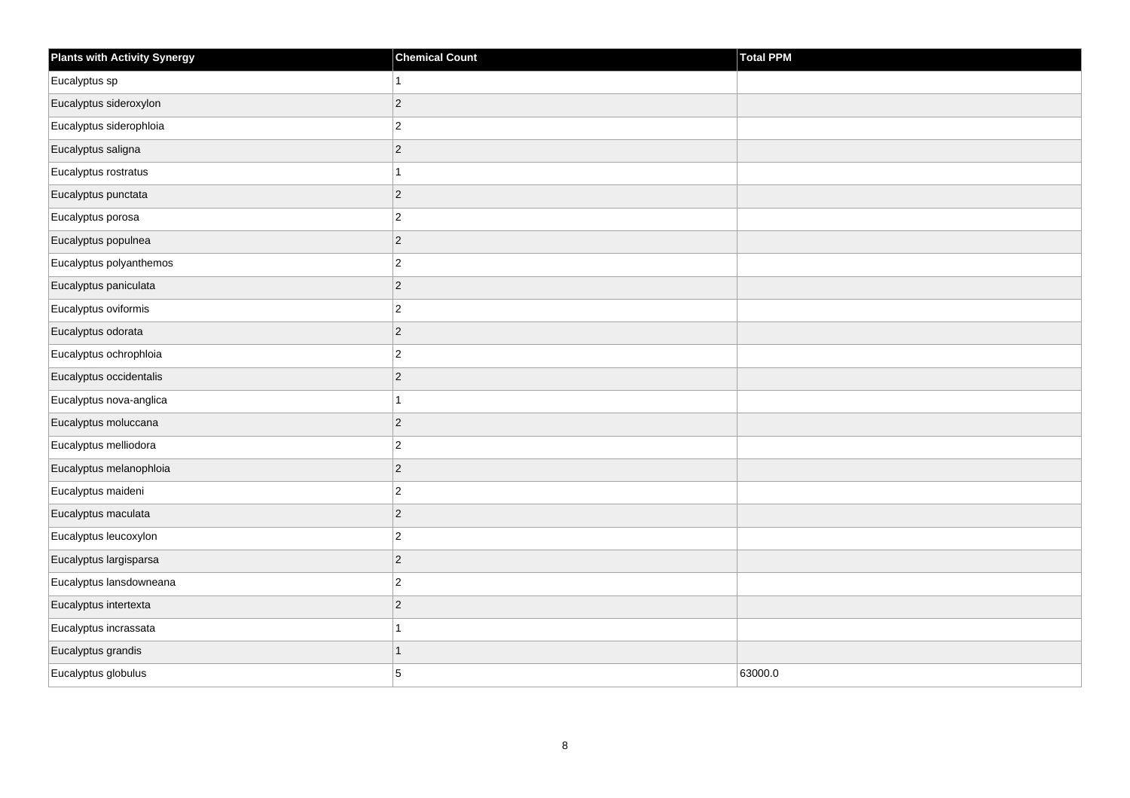| <b>Plants with Activity Synergy</b> | <b>Chemical Count</b> | Total PPM |
|-------------------------------------|-----------------------|-----------|
| Eucalyptus sp                       | $\mathbf{1}$          |           |
| Eucalyptus sideroxylon              | $\mathbf 2$           |           |
| Eucalyptus siderophloia             | $\overline{c}$        |           |
| Eucalyptus saligna                  | $\mathbf 2$           |           |
| Eucalyptus rostratus                | $\mathbf{1}$          |           |
| Eucalyptus punctata                 | $\vert$ 2             |           |
| Eucalyptus porosa                   | $\overline{c}$        |           |
| Eucalyptus populnea                 | $\mathbf 2$           |           |
| Eucalyptus polyanthemos             | $\mathbf 2$           |           |
| Eucalyptus paniculata               | $\vert$ 2             |           |
| Eucalyptus oviformis                | $\mathbf 2$           |           |
| Eucalyptus odorata                  | $\vert$ 2             |           |
| Eucalyptus ochrophloia              | $\overline{c}$        |           |
| Eucalyptus occidentalis             | $\mathbf 2$           |           |
| Eucalyptus nova-anglica             | $\mathbf{1}$          |           |
| Eucalyptus moluccana                | $\vert$ 2             |           |
| Eucalyptus melliodora               | $\mathbf 2$           |           |
| Eucalyptus melanophloia             | $\vert$ 2             |           |
| Eucalyptus maideni                  | $\mathbf 2$           |           |
| Eucalyptus maculata                 | $\sqrt{2}$            |           |
| Eucalyptus leucoxylon               | $\mathbf 2$           |           |
| Eucalyptus largisparsa              | $\vert$ 2             |           |
| Eucalyptus lansdowneana             | $\mathbf 2$           |           |
| Eucalyptus intertexta               | $\vert$ 2             |           |
| Eucalyptus incrassata               | $\mathbf{1}$          |           |
| Eucalyptus grandis                  | $\mathbf{1}$          |           |
| Eucalyptus globulus                 | 5                     | 63000.0   |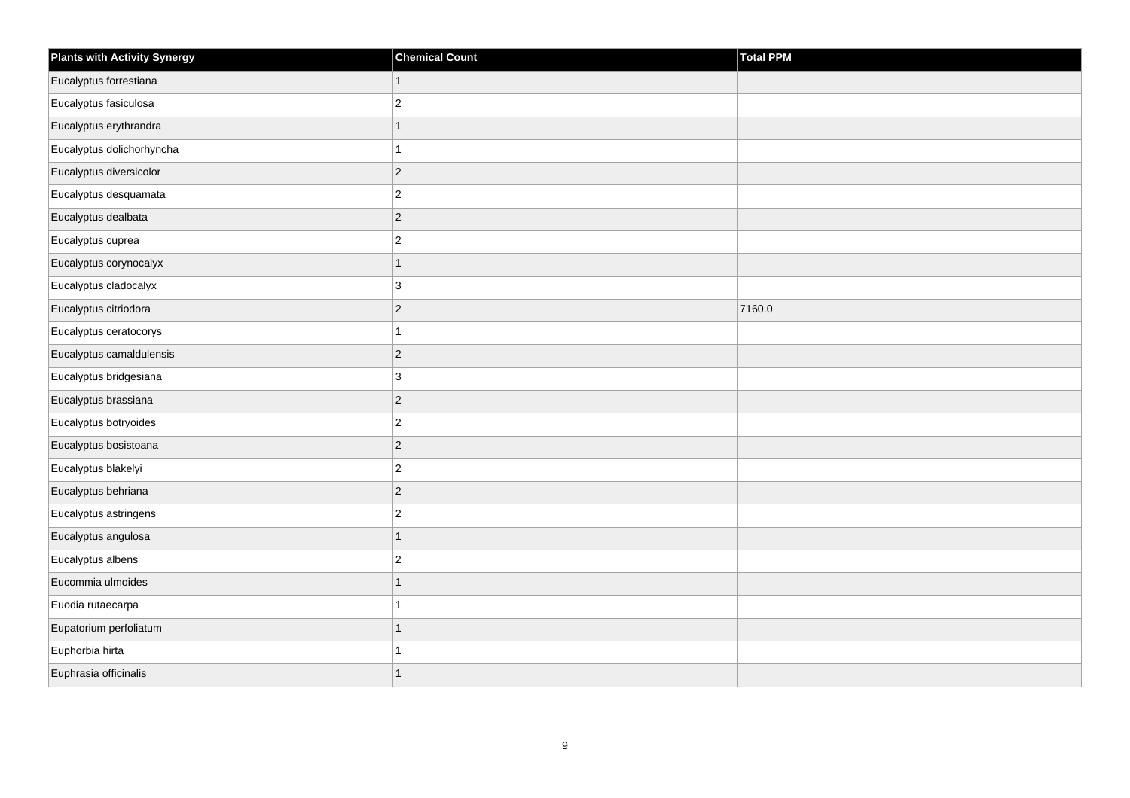| <b>Plants with Activity Synergy</b> | <b>Chemical Count</b>   | Total PPM |
|-------------------------------------|-------------------------|-----------|
| Eucalyptus forrestiana              | $\mathbf{1}$            |           |
| Eucalyptus fasiculosa               | $\overline{\mathbf{c}}$ |           |
| Eucalyptus erythrandra              | 1                       |           |
| Eucalyptus dolichorhyncha           | 1                       |           |
| Eucalyptus diversicolor             | $\overline{c}$          |           |
| Eucalyptus desquamata               | $\overline{c}$          |           |
| Eucalyptus dealbata                 | $\overline{c}$          |           |
| Eucalyptus cuprea                   | $\overline{c}$          |           |
| Eucalyptus corynocalyx              | $\overline{1}$          |           |
| Eucalyptus cladocalyx               | 3                       |           |
| Eucalyptus citriodora               | $\overline{c}$          | 7160.0    |
| Eucalyptus ceratocorys              | 1                       |           |
| Eucalyptus camaldulensis            | $\overline{c}$          |           |
| Eucalyptus bridgesiana              | 3                       |           |
| Eucalyptus brassiana                | $\overline{c}$          |           |
| Eucalyptus botryoides               | $\boldsymbol{2}$        |           |
| Eucalyptus bosistoana               | $\overline{c}$          |           |
| Eucalyptus blakelyi                 | $\boldsymbol{2}$        |           |
| Eucalyptus behriana                 | $\overline{c}$          |           |
| Eucalyptus astringens               | $\overline{c}$          |           |
| Eucalyptus angulosa                 | $\overline{1}$          |           |
| Eucalyptus albens                   | $\boldsymbol{2}$        |           |
| Eucommia ulmoides                   | 1                       |           |
| Euodia rutaecarpa                   |                         |           |
| Eupatorium perfoliatum              | $\mathbf{1}$            |           |
| Euphorbia hirta                     |                         |           |
| Euphrasia officinalis               | $\overline{1}$          |           |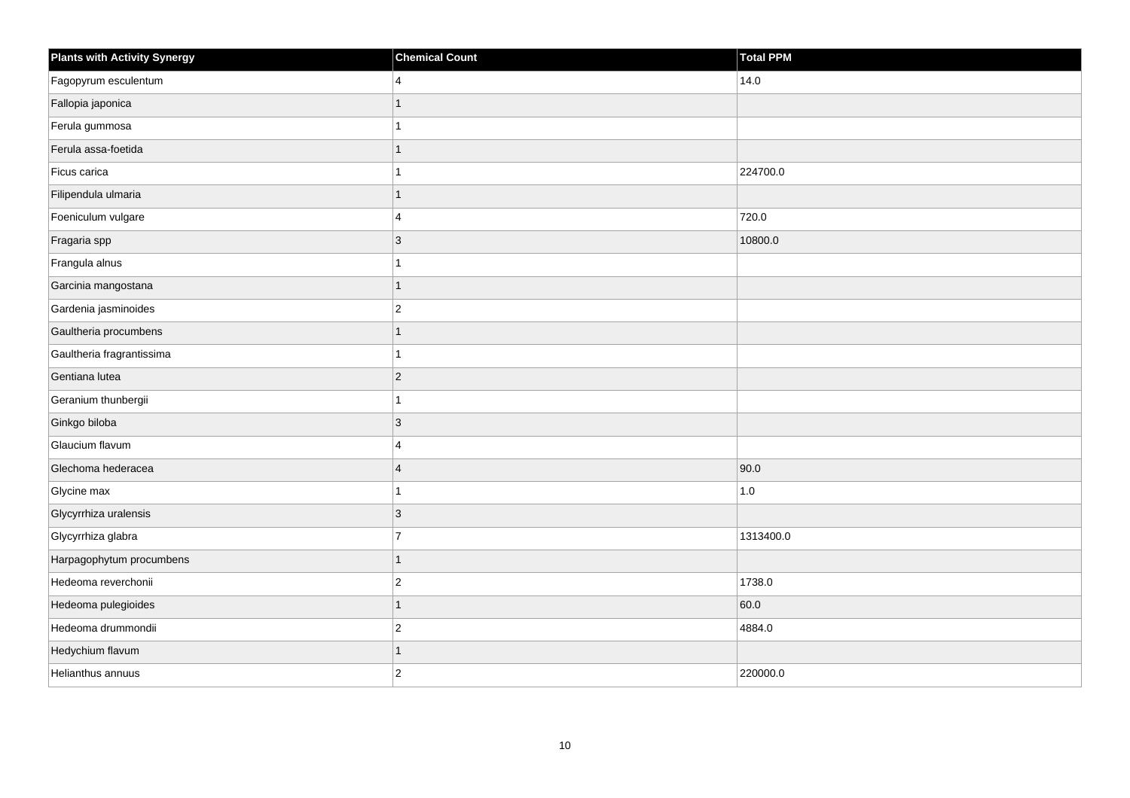| <b>Plants with Activity Synergy</b> | <b>Chemical Count</b> | Total PPM |
|-------------------------------------|-----------------------|-----------|
| Fagopyrum esculentum                | 4                     | 14.0      |
| Fallopia japonica                   | 1                     |           |
| Ferula gummosa                      | 1                     |           |
| Ferula assa-foetida                 | 1                     |           |
| Ficus carica                        | 1                     | 224700.0  |
| Filipendula ulmaria                 | 1                     |           |
| Foeniculum vulgare                  | 4                     | 720.0     |
| Fragaria spp                        | 3                     | 10800.0   |
| Frangula alnus                      | 1                     |           |
| Garcinia mangostana                 | 1                     |           |
| Gardenia jasminoides                | $\overline{2}$        |           |
| Gaultheria procumbens               | 1                     |           |
| Gaultheria fragrantissima           | 1                     |           |
| Gentiana lutea                      | $\overline{2}$        |           |
| Geranium thunbergii                 | 1                     |           |
| Ginkgo biloba                       | $ 3\rangle$           |           |
| Glaucium flavum                     | 4                     |           |
| Glechoma hederacea                  | $\overline{4}$        | 90.0      |
| Glycine max                         | 1                     | 1.0       |
| Glycyrrhiza uralensis               | $ 3\rangle$           |           |
| Glycyrrhiza glabra                  | $\overline{7}$        | 1313400.0 |
| Harpagophytum procumbens            | $\mathbf{1}$          |           |
| Hedeoma reverchonii                 | $\overline{c}$        | 1738.0    |
| Hedeoma pulegioides                 | 1                     | 60.0      |
| Hedeoma drummondii                  | $\vert$ 2             | 4884.0    |
| Hedychium flavum                    | 1                     |           |
| Helianthus annuus                   | $\overline{2}$        | 220000.0  |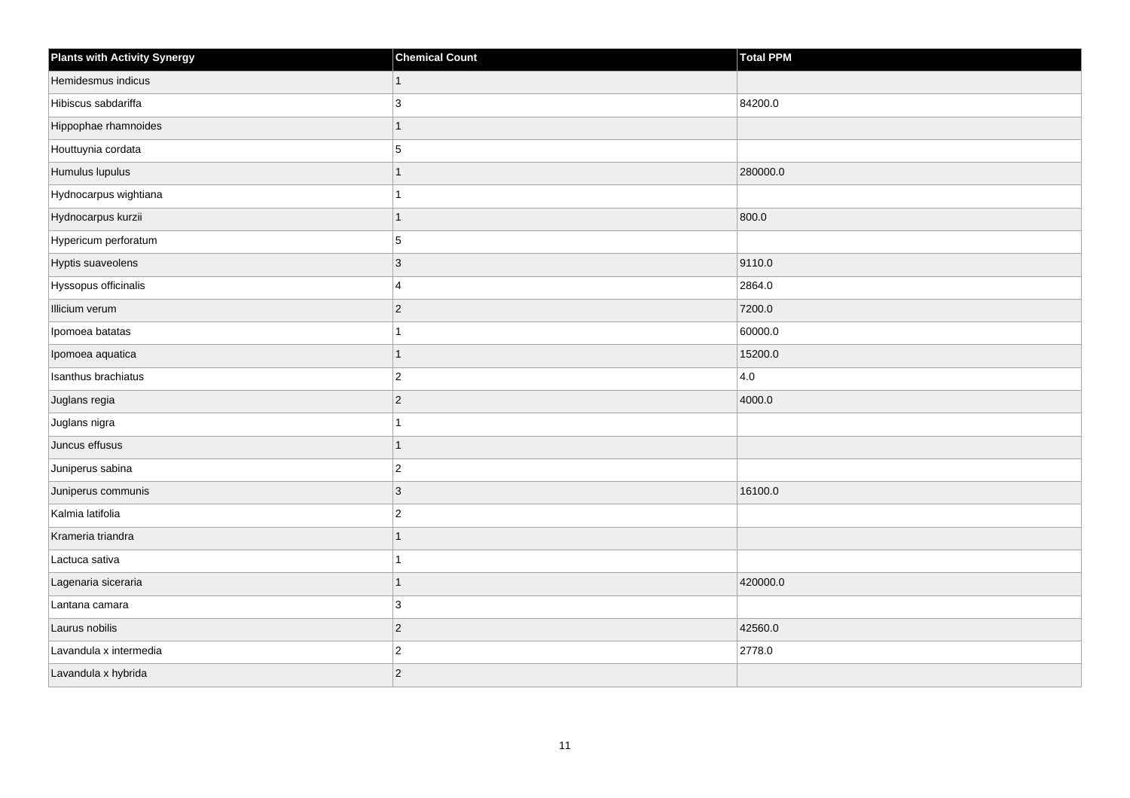| <b>Plants with Activity Synergy</b> | <b>Chemical Count</b> | Total PPM |
|-------------------------------------|-----------------------|-----------|
| Hemidesmus indicus                  | $\mathbf{1}$          |           |
| Hibiscus sabdariffa                 | 3                     | 84200.0   |
| Hippophae rhamnoides                | $\mathbf{1}$          |           |
| Houttuynia cordata                  | 5                     |           |
| Humulus lupulus                     | 1                     | 280000.0  |
| Hydnocarpus wightiana               | 1                     |           |
| Hydnocarpus kurzii                  | $\mathbf{1}$          | 800.0     |
| Hypericum perforatum                | 5                     |           |
| Hyptis suaveolens                   | $ 3\rangle$           | 9110.0    |
| Hyssopus officinalis                | $\overline{4}$        | 2864.0    |
| Illicium verum                      | $ 2\rangle$           | 7200.0    |
| Ipomoea batatas                     | $\mathbf{1}$          | 60000.0   |
| Ipomoea aquatica                    | $\mathbf{1}$          | 15200.0   |
| Isanthus brachiatus                 | $ 2\rangle$           | 4.0       |
| Juglans regia                       | $ 2\rangle$           | 4000.0    |
| Juglans nigra                       | $\mathbf{1}$          |           |
| Juncus effusus                      | 1                     |           |
| Juniperus sabina                    | $ 2\rangle$           |           |
| Juniperus communis                  | $ 3\rangle$           | 16100.0   |
| Kalmia latifolia                    | $ 2\rangle$           |           |
| Krameria triandra                   | 1                     |           |
| Lactuca sativa                      | $\overline{1}$        |           |
| Lagenaria siceraria                 | $\mathbf{1}$          | 420000.0  |
| Lantana camara                      | 3                     |           |
| Laurus nobilis                      | $ 2\rangle$           | 42560.0   |
| Lavandula x intermedia              | $\vert$ 2             | 2778.0    |
| Lavandula x hybrida                 | $ 2\rangle$           |           |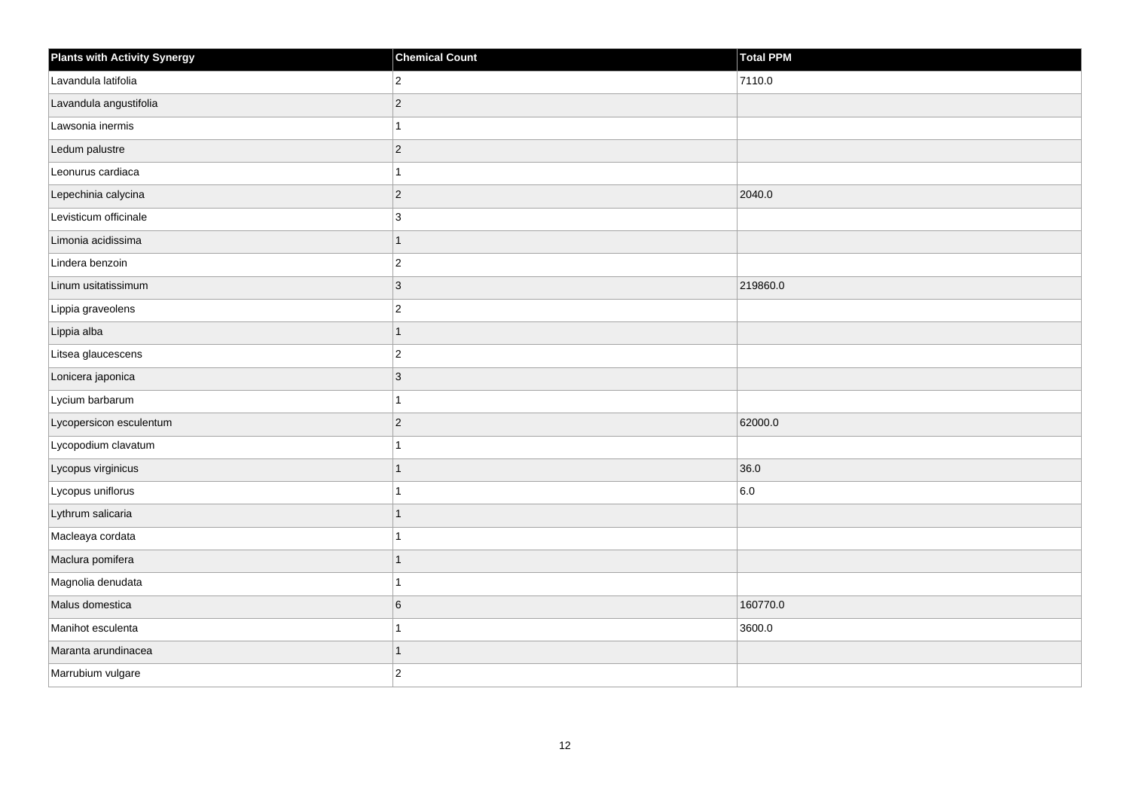| <b>Plants with Activity Synergy</b> | <b>Chemical Count</b> | Total PPM |
|-------------------------------------|-----------------------|-----------|
| Lavandula latifolia                 | $\overline{c}$        | 7110.0    |
| Lavandula angustifolia              | $\overline{2}$        |           |
| Lawsonia inermis                    | 1                     |           |
| Ledum palustre                      | $\overline{2}$        |           |
| Leonurus cardiaca                   |                       |           |
| Lepechinia calycina                 | $\overline{c}$        | 2040.0    |
| Levisticum officinale               | 3                     |           |
| Limonia acidissima                  | $\overline{1}$        |           |
| Lindera benzoin                     | $\overline{c}$        |           |
| Linum usitatissimum                 | $\overline{3}$        | 219860.0  |
| Lippia graveolens                   | $\overline{c}$        |           |
| Lippia alba                         | 1                     |           |
| Litsea glaucescens                  | $\overline{c}$        |           |
| Lonicera japonica                   | 3                     |           |
| Lycium barbarum                     |                       |           |
| Lycopersicon esculentum             | $\overline{c}$        | 62000.0   |
| Lycopodium clavatum                 |                       |           |
| Lycopus virginicus                  | 1                     | 36.0      |
| Lycopus uniflorus                   | $\overline{1}$        | 6.0       |
| Lythrum salicaria                   | 1                     |           |
| Macleaya cordata                    |                       |           |
| Maclura pomifera                    | 1                     |           |
| Magnolia denudata                   |                       |           |
| Malus domestica                     | 6                     | 160770.0  |
| Manihot esculenta                   | 1                     | 3600.0    |
| Maranta arundinacea                 | 1                     |           |
| Marrubium vulgare                   | $\overline{2}$        |           |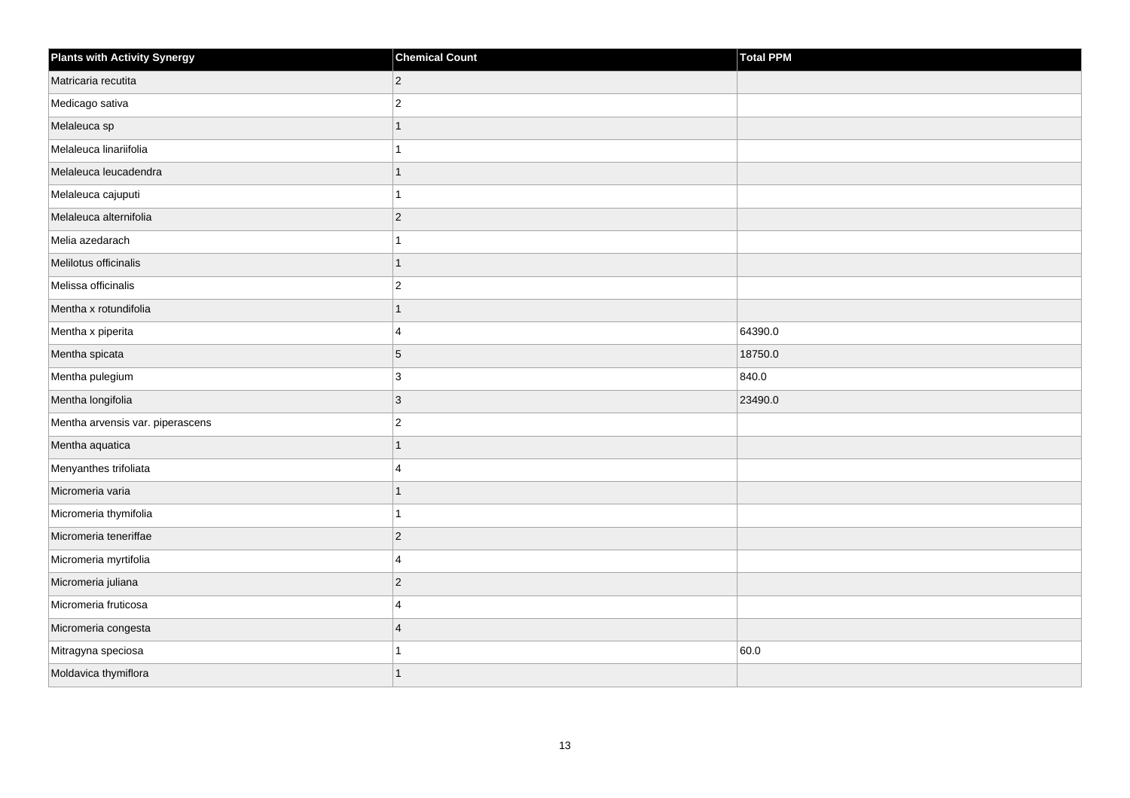| <b>Plants with Activity Synergy</b> | <b>Chemical Count</b>   | Total PPM |
|-------------------------------------|-------------------------|-----------|
| Matricaria recutita                 | $\overline{2}$          |           |
| Medicago sativa                     | $\overline{2}$          |           |
| Melaleuca sp                        |                         |           |
| Melaleuca linariifolia              |                         |           |
| Melaleuca leucadendra               | 1                       |           |
| Melaleuca cajuputi                  |                         |           |
| Melaleuca alternifolia              | $\overline{2}$          |           |
| Melia azedarach                     |                         |           |
| Melilotus officinalis               |                         |           |
| Melissa officinalis                 | $\overline{2}$          |           |
| Mentha x rotundifolia               | 1                       |           |
| Mentha x piperita                   | 4                       | 64390.0   |
| Mentha spicata                      | 5                       | 18750.0   |
| Mentha pulegium                     | 3                       | 840.0     |
| Mentha longifolia                   | 3                       | 23490.0   |
| Mentha arvensis var. piperascens    | $\overline{2}$          |           |
| Mentha aquatica                     |                         |           |
| Menyanthes trifoliata               | 4                       |           |
| Micromeria varia                    | 1                       |           |
| Micromeria thymifolia               |                         |           |
| Micromeria teneriffae               | $\overline{2}$          |           |
| Micromeria myrtifolia               | 4                       |           |
| Micromeria juliana                  | $\overline{2}$          |           |
| Micromeria fruticosa                | $\Delta$                |           |
| Micromeria congesta                 | $\overline{\mathbf{4}}$ |           |
| Mitragyna speciosa                  |                         | 60.0      |
| Moldavica thymiflora                |                         |           |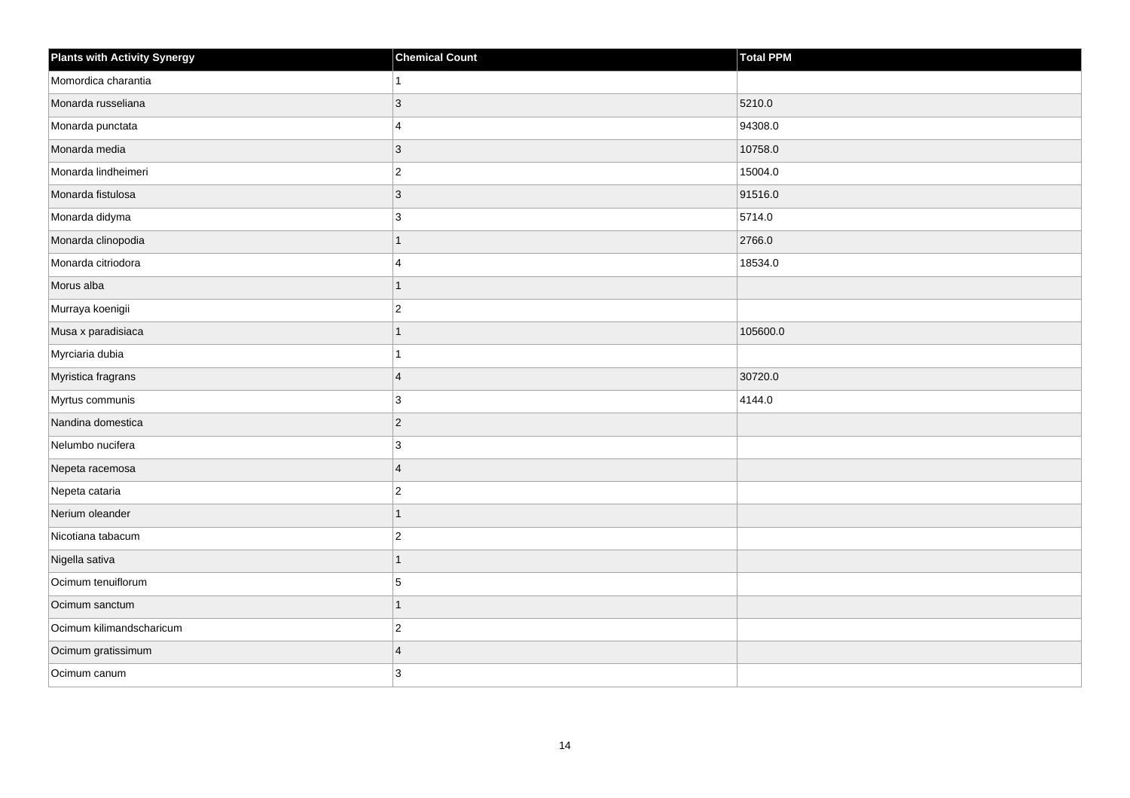| <b>Plants with Activity Synergy</b> | <b>Chemical Count</b> | Total PPM |
|-------------------------------------|-----------------------|-----------|
| Momordica charantia                 | 1                     |           |
| Monarda russeliana                  | $\mathbf{3}$          | 5210.0    |
| Monarda punctata                    | $\overline{4}$        | 94308.0   |
| Monarda media                       | $\overline{3}$        | 10758.0   |
| Monarda lindheimeri                 | $\overline{c}$        | 15004.0   |
| Monarda fistulosa                   | $\overline{3}$        | 91516.0   |
| Monarda didyma                      | $\overline{3}$        | 5714.0    |
| Monarda clinopodia                  | $\mathbf{1}$          | 2766.0    |
| Monarda citriodora                  | $\overline{4}$        | 18534.0   |
| Morus alba                          | $\overline{1}$        |           |
| Murraya koenigii                    | $\boldsymbol{2}$      |           |
| Musa x paradisiaca                  | $\mathbf{1}$          | 105600.0  |
| Myrciaria dubia                     | $\overline{1}$        |           |
| Myristica fragrans                  | $\overline{4}$        | 30720.0   |
| Myrtus communis                     | $\mathbf{3}$          | 4144.0    |
| Nandina domestica                   | $\overline{c}$        |           |
| Nelumbo nucifera                    | 3                     |           |
| Nepeta racemosa                     | $\overline{4}$        |           |
| Nepeta cataria                      | $\overline{c}$        |           |
| Nerium oleander                     | $\mathbf{1}$          |           |
| Nicotiana tabacum                   | $\boldsymbol{2}$      |           |
| Nigella sativa                      | $\overline{1}$        |           |
| Ocimum tenuiflorum                  | $\sqrt{5}$            |           |
| Ocimum sanctum                      | $\mathbf 1$           |           |
| Ocimum kilimandscharicum            | $\overline{c}$        |           |
| Ocimum gratissimum                  | $\overline{4}$        |           |
| Ocimum canum                        | 3                     |           |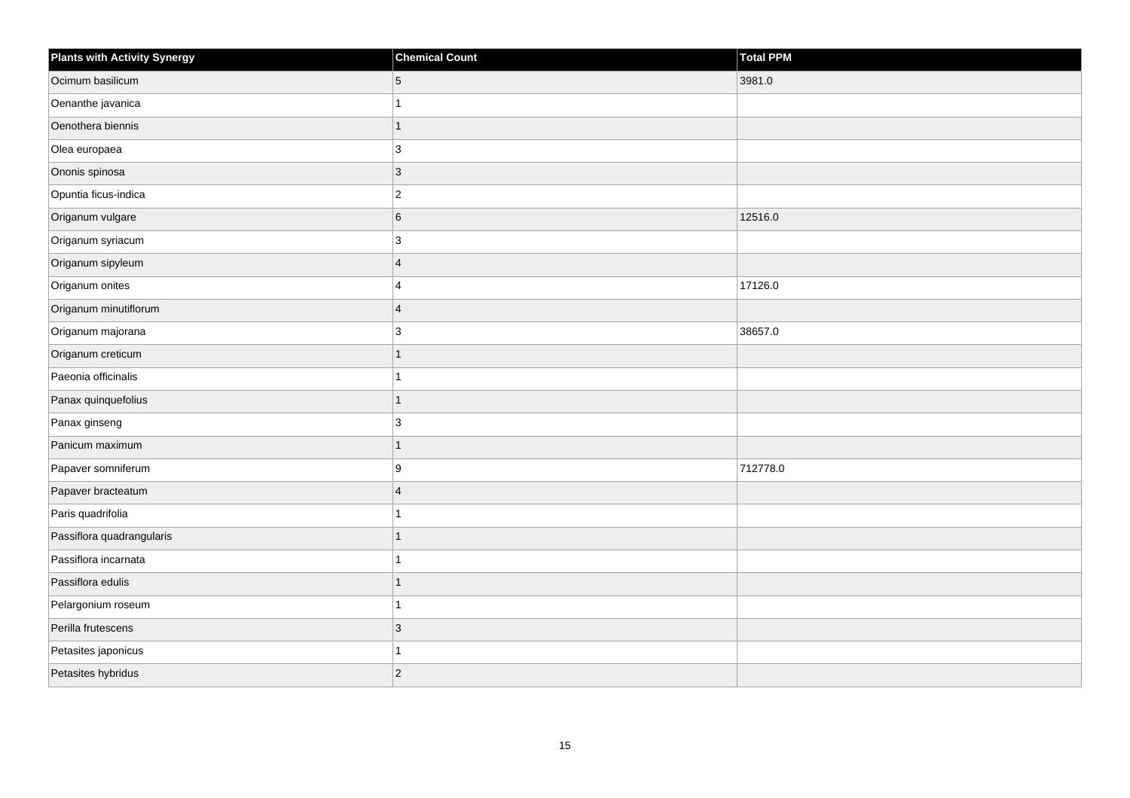| <b>Plants with Activity Synergy</b> | <b>Chemical Count</b> | Total PPM |
|-------------------------------------|-----------------------|-----------|
| Ocimum basilicum                    | 5                     | 3981.0    |
| Oenanthe javanica                   |                       |           |
| Oenothera biennis                   | 1                     |           |
| Olea europaea                       | 3                     |           |
| Ononis spinosa                      | 3                     |           |
| Opuntia ficus-indica                | $\overline{c}$        |           |
| Origanum vulgare                    | 6                     | 12516.0   |
| Origanum syriacum                   | 3                     |           |
| Origanum sipyleum                   | $\overline{4}$        |           |
| Origanum onites                     | 4                     | 17126.0   |
| Origanum minutiflorum               | $\overline{4}$        |           |
| Origanum majorana                   | 3                     | 38657.0   |
| Origanum creticum                   | $\overline{1}$        |           |
| Paeonia officinalis                 |                       |           |
| Panax quinquefolius                 | 1                     |           |
| Panax ginseng                       | 3                     |           |
| Panicum maximum                     | 1                     |           |
| Papaver somniferum                  | 9                     | 712778.0  |
| Papaver bracteatum                  | $\overline{4}$        |           |
| Paris quadrifolia                   |                       |           |
| Passiflora quadrangularis           |                       |           |
| Passiflora incarnata                | 1                     |           |
| Passiflora edulis                   | 1                     |           |
| Pelargonium roseum                  |                       |           |
| Perilla frutescens                  | 3                     |           |
| Petasites japonicus                 |                       |           |
| Petasites hybridus                  | $\overline{2}$        |           |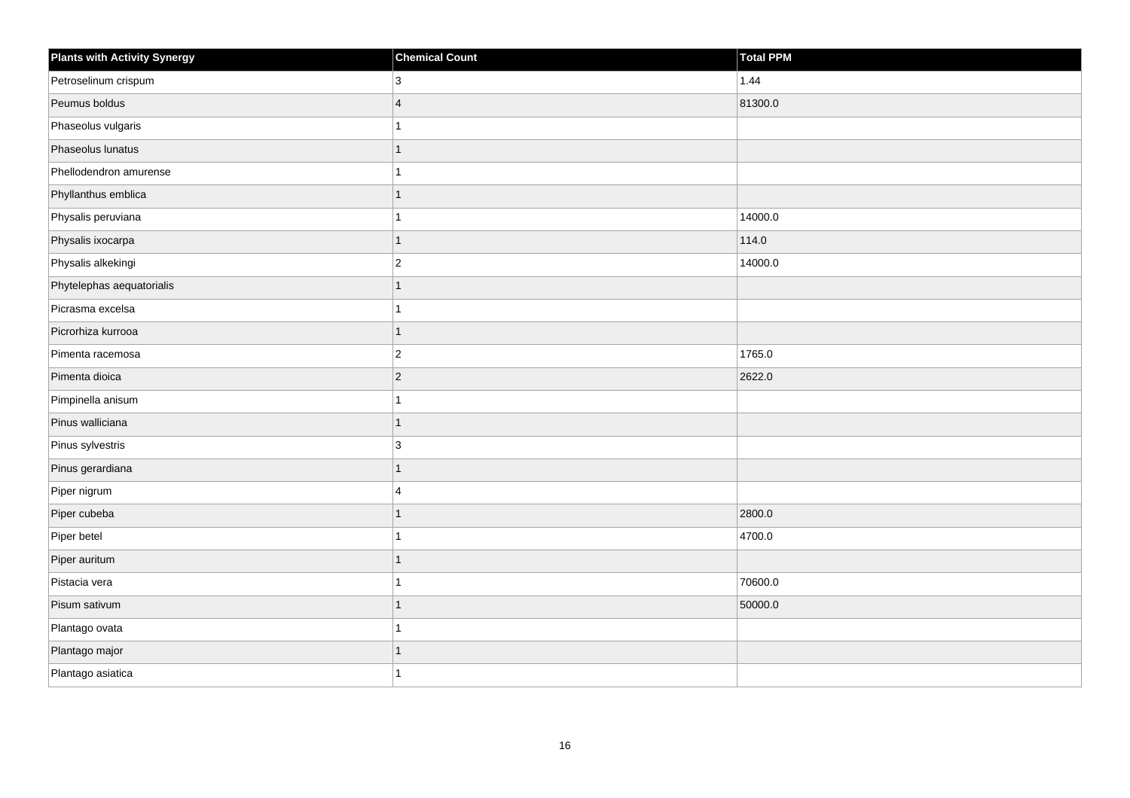| <b>Plants with Activity Synergy</b> | <b>Chemical Count</b> | Total PPM |
|-------------------------------------|-----------------------|-----------|
| Petroselinum crispum                | 3                     | 1.44      |
| Peumus boldus                       | $\overline{4}$        | 81300.0   |
| Phaseolus vulgaris                  |                       |           |
| Phaseolus lunatus                   | 1                     |           |
| Phellodendron amurense              |                       |           |
| Phyllanthus emblica                 | 1                     |           |
| Physalis peruviana                  |                       | 14000.0   |
| Physalis ixocarpa                   | 1                     | 114.0     |
| Physalis alkekingi                  | $\overline{2}$        | 14000.0   |
| Phytelephas aequatorialis           | $\overline{1}$        |           |
| Picrasma excelsa                    |                       |           |
| Picrorhiza kurrooa                  | 1                     |           |
| Pimenta racemosa                    | $\overline{c}$        | 1765.0    |
| Pimenta dioica                      | $\overline{2}$        | 2622.0    |
| Pimpinella anisum                   |                       |           |
| Pinus walliciana                    | $\overline{1}$        |           |
| Pinus sylvestris                    | 3                     |           |
| Pinus gerardiana                    |                       |           |
| Piper nigrum                        | 4                     |           |
| Piper cubeba                        | 1                     | 2800.0    |
| Piper betel                         |                       | 4700.0    |
| Piper auritum                       | 1                     |           |
| Pistacia vera                       |                       | 70600.0   |
| Pisum sativum                       | 1                     | 50000.0   |
| Plantago ovata                      | 1                     |           |
| Plantago major                      | 1                     |           |
| Plantago asiatica                   |                       |           |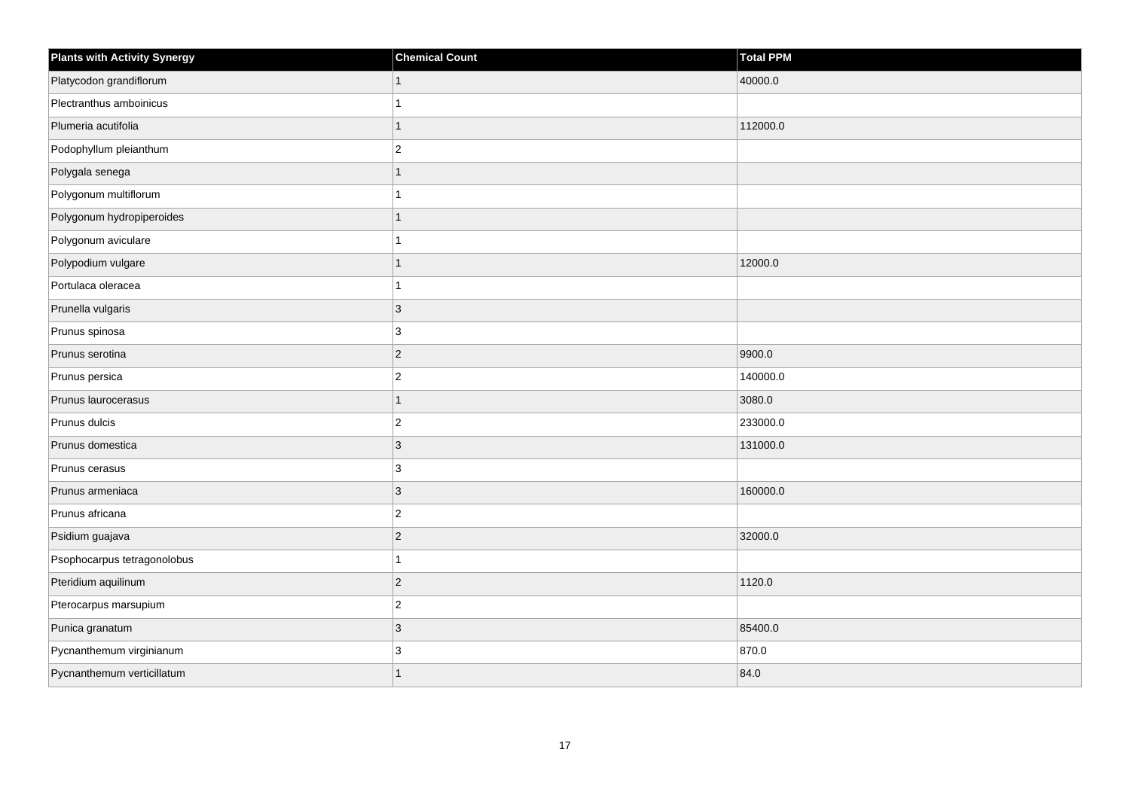| <b>Plants with Activity Synergy</b> | <b>Chemical Count</b> | <b>Total PPM</b> |
|-------------------------------------|-----------------------|------------------|
| Platycodon grandiflorum             |                       | 40000.0          |
| Plectranthus amboinicus             |                       |                  |
| Plumeria acutifolia                 |                       | 112000.0         |
| Podophyllum pleianthum              | $\overline{2}$        |                  |
| Polygala senega                     |                       |                  |
| Polygonum multiflorum               |                       |                  |
| Polygonum hydropiperoides           |                       |                  |
| Polygonum aviculare                 |                       |                  |
| Polypodium vulgare                  |                       | 12000.0          |
| Portulaca oleracea                  |                       |                  |
| Prunella vulgaris                   | 3                     |                  |
| Prunus spinosa                      | 3                     |                  |
| Prunus serotina                     | $\overline{2}$        | 9900.0           |
| Prunus persica                      | $\overline{2}$        | 140000.0         |
| Prunus laurocerasus                 | 1                     | 3080.0           |
| Prunus dulcis                       | $\overline{c}$        | 233000.0         |
| Prunus domestica                    | 3                     | 131000.0         |
| Prunus cerasus                      | 3                     |                  |
| Prunus armeniaca                    | $\overline{3}$        | 160000.0         |
| Prunus africana                     | $\overline{c}$        |                  |
| Psidium guajava                     | $\overline{2}$        | 32000.0          |
| Psophocarpus tetragonolobus         | 1                     |                  |
| Pteridium aquilinum                 | $\overline{2}$        | 1120.0           |
| Pterocarpus marsupium               | $\overline{c}$        |                  |
| Punica granatum                     | $\overline{3}$        | 85400.0          |
| Pycnanthemum virginianum            | 3                     | 870.0            |
| Pycnanthemum verticillatum          |                       | 84.0             |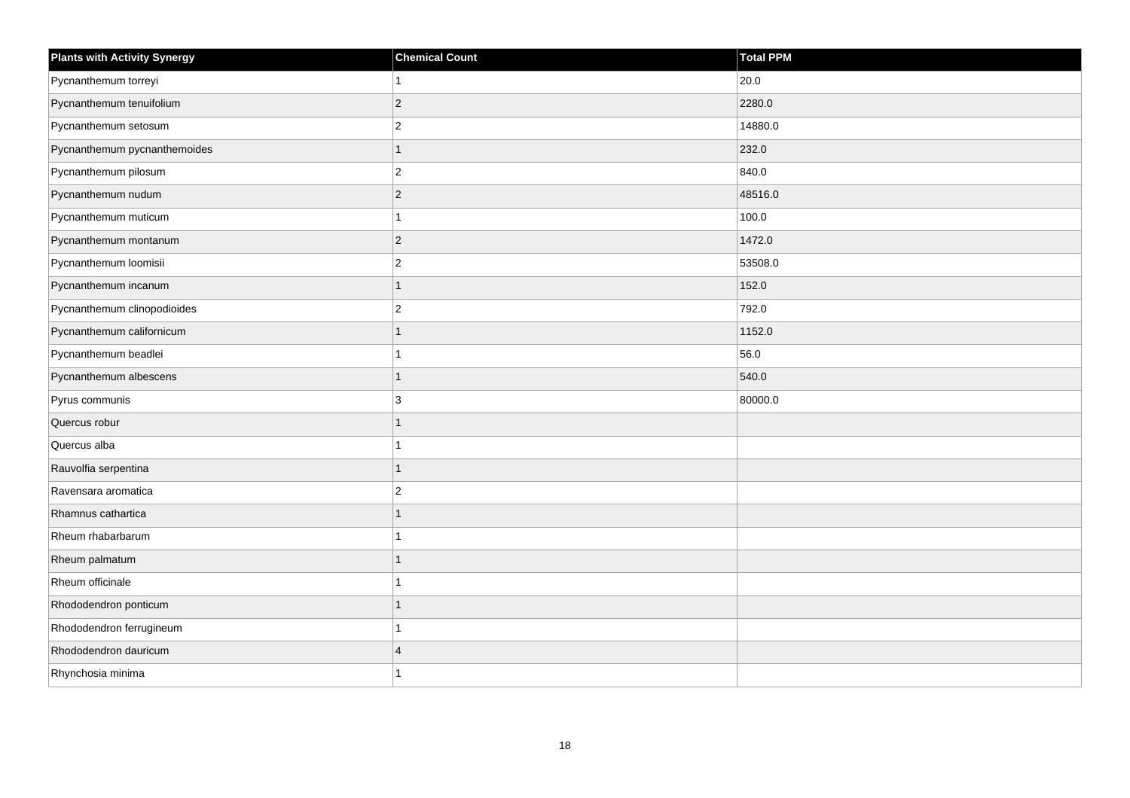| <b>Plants with Activity Synergy</b> | <b>Chemical Count</b>   | <b>Total PPM</b> |
|-------------------------------------|-------------------------|------------------|
| Pycnanthemum torreyi                | 1                       | 20.0             |
| Pycnanthemum tenuifolium            | $\overline{2}$          | 2280.0           |
| Pycnanthemum setosum                | $\overline{2}$          | 14880.0          |
| Pycnanthemum pycnanthemoides        | $\overline{1}$          | 232.0            |
| Pycnanthemum pilosum                | $\overline{\mathbf{c}}$ | 840.0            |
| Pycnanthemum nudum                  | $\overline{2}$          | 48516.0          |
| Pycnanthemum muticum                | 1                       | 100.0            |
| Pycnanthemum montanum               | $\overline{c}$          | 1472.0           |
| Pycnanthemum loomisii               | $\overline{2}$          | 53508.0          |
| Pycnanthemum incanum                | $\overline{1}$          | 152.0            |
| Pycnanthemum clinopodioides         | $\overline{2}$          | 792.0            |
| Pycnanthemum californicum           | 1                       | 1152.0           |
| Pycnanthemum beadlei                | 1                       | 56.0             |
| Pycnanthemum albescens              | 1                       | 540.0            |
| Pyrus communis                      | 3                       | 80000.0          |
| Quercus robur                       | $\overline{1}$          |                  |
| Quercus alba                        |                         |                  |
| Rauvolfia serpentina                | 1                       |                  |
| Ravensara aromatica                 | $\overline{c}$          |                  |
| Rhamnus cathartica                  | 1                       |                  |
| Rheum rhabarbarum                   |                         |                  |
| Rheum palmatum                      | 1                       |                  |
| Rheum officinale                    |                         |                  |
| Rhododendron ponticum               | 1                       |                  |
| Rhododendron ferrugineum            | 1                       |                  |
| Rhododendron dauricum               | $\overline{4}$          |                  |
| Rhynchosia minima                   |                         |                  |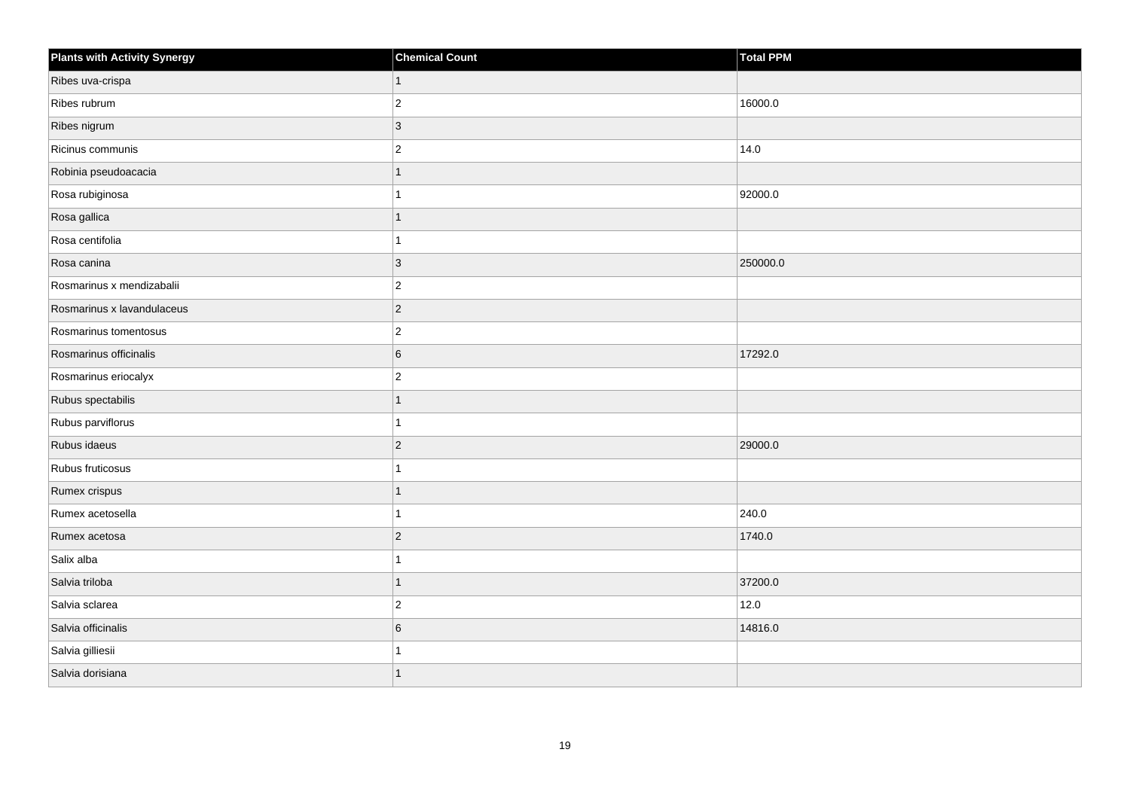| <b>Plants with Activity Synergy</b> | <b>Chemical Count</b> | Total PPM |
|-------------------------------------|-----------------------|-----------|
| Ribes uva-crispa                    | $\mathbf{1}$          |           |
| Ribes rubrum                        | $ 2\rangle$           | 16000.0   |
| Ribes nigrum                        | $ 3\rangle$           |           |
| Ricinus communis                    | $ 2\rangle$           | 14.0      |
| Robinia pseudoacacia                | 1                     |           |
| Rosa rubiginosa                     | 1                     | 92000.0   |
| Rosa gallica                        | $\mathbf{1}$          |           |
| Rosa centifolia                     | 1                     |           |
| Rosa canina                         | $ 3\rangle$           | 250000.0  |
| Rosmarinus x mendizabalii           | $ 2\rangle$           |           |
| Rosmarinus x lavandulaceus          | $ 2\rangle$           |           |
| Rosmarinus tomentosus               | $\overline{2}$        |           |
| Rosmarinus officinalis              | 6                     | 17292.0   |
| Rosmarinus eriocalyx                | $ 2\rangle$           |           |
| Rubus spectabilis                   | $\overline{1}$        |           |
| Rubus parviflorus                   | $\mathbf{1}$          |           |
| Rubus idaeus                        | $ 2\rangle$           | 29000.0   |
| Rubus fruticosus                    | 1                     |           |
| Rumex crispus                       | $\mathbf{1}$          |           |
| Rumex acetosella                    | 1                     | 240.0     |
| Rumex acetosa                       | $ 2\rangle$           | 1740.0    |
| Salix alba                          | 1                     |           |
| Salvia triloba                      | 1                     | 37200.0   |
| Salvia sclarea                      | $\overline{2}$        | 12.0      |
| Salvia officinalis                  | 6                     | 14816.0   |
| Salvia gilliesii                    | 1                     |           |
| Salvia dorisiana                    | $\mathbf{1}$          |           |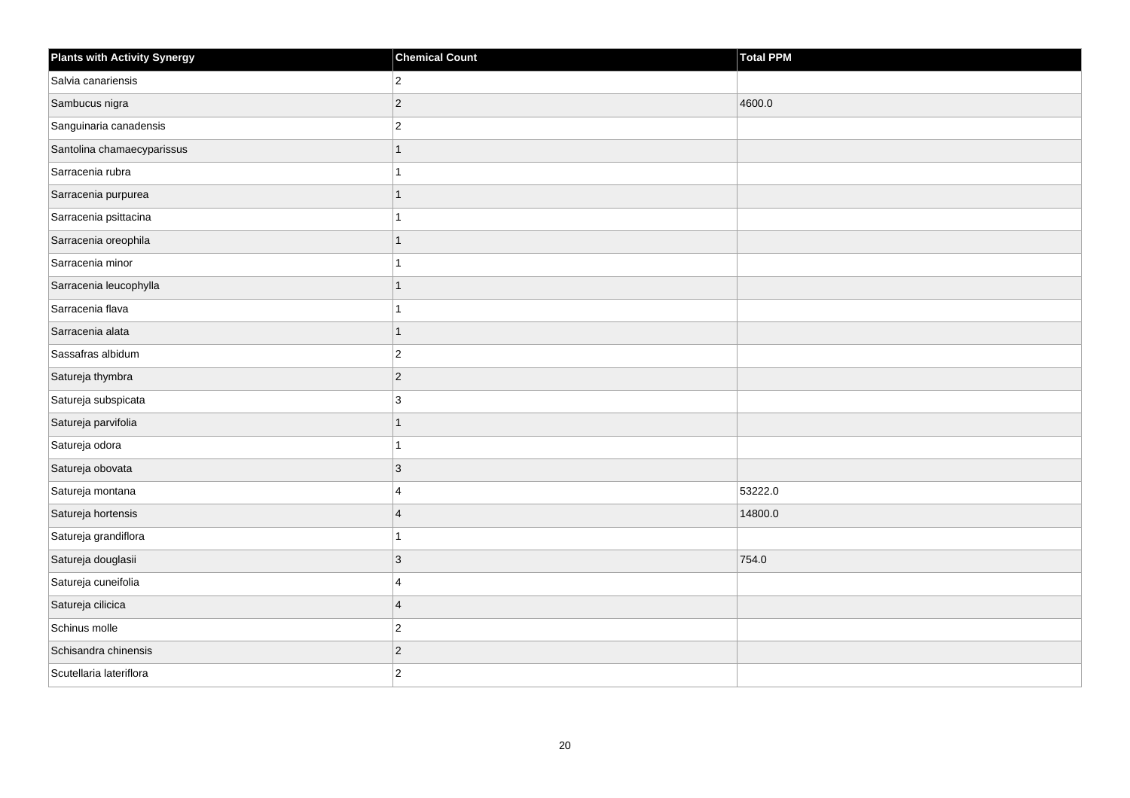| <b>Plants with Activity Synergy</b> | <b>Chemical Count</b>   | Total PPM |
|-------------------------------------|-------------------------|-----------|
| Salvia canariensis                  | $\overline{2}$          |           |
| Sambucus nigra                      | $\overline{2}$          | 4600.0    |
| Sanguinaria canadensis              | $\overline{c}$          |           |
| Santolina chamaecyparissus          | 1                       |           |
| Sarracenia rubra                    |                         |           |
| Sarracenia purpurea                 |                         |           |
| Sarracenia psittacina               |                         |           |
| Sarracenia oreophila                | 1                       |           |
| Sarracenia minor                    |                         |           |
| Sarracenia leucophylla              | 1                       |           |
| Sarracenia flava                    |                         |           |
| Sarracenia alata                    | 1                       |           |
| Sassafras albidum                   | $\overline{c}$          |           |
| Satureja thymbra                    | $\overline{2}$          |           |
| Satureja subspicata                 | 3                       |           |
| Satureja parvifolia                 | $\overline{1}$          |           |
| Satureja odora                      |                         |           |
| Satureja obovata                    | 3                       |           |
| Satureja montana                    | 4                       | 53222.0   |
| Satureja hortensis                  | $\overline{\mathbf{A}}$ | 14800.0   |
| Satureja grandiflora                |                         |           |
| Satureja douglasii                  | $\overline{3}$          | 754.0     |
| Satureja cuneifolia                 | 4                       |           |
| Satureja cilicica                   | $\overline{4}$          |           |
| Schinus molle                       | $\overline{c}$          |           |
| Schisandra chinensis                | $\overline{c}$          |           |
| Scutellaria lateriflora             | $\overline{2}$          |           |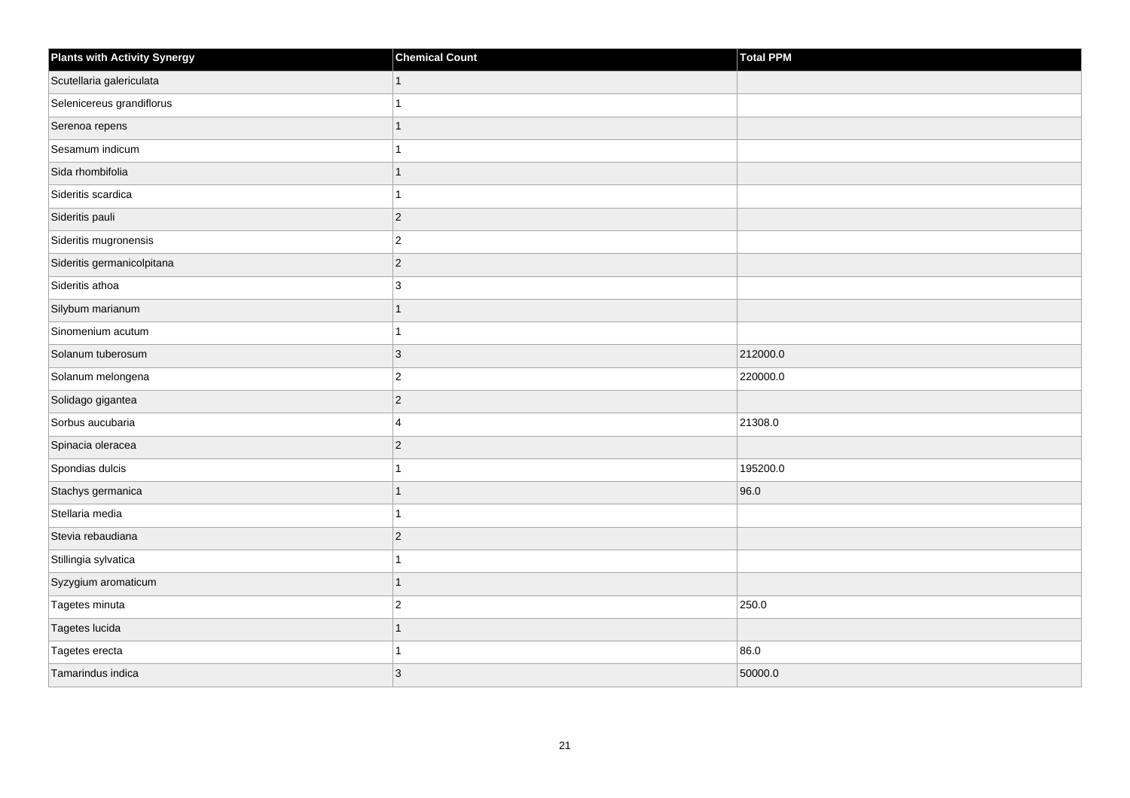| <b>Plants with Activity Synergy</b> | <b>Chemical Count</b> | Total PPM |
|-------------------------------------|-----------------------|-----------|
| Scutellaria galericulata            | $\mathbf{1}$          |           |
| Selenicereus grandiflorus           | 1                     |           |
| Serenoa repens                      | 1                     |           |
| Sesamum indicum                     | 1                     |           |
| Sida rhombifolia                    | $\mathbf{1}$          |           |
| Sideritis scardica                  | 1                     |           |
| Sideritis pauli                     | $ 2\rangle$           |           |
| Sideritis mugronensis               | $ 2\rangle$           |           |
| Sideritis germanicolpitana          | $ 2\rangle$           |           |
| Sideritis athoa                     | $ 3\rangle$           |           |
| Silybum marianum                    | $\mathbf{1}$          |           |
| Sinomenium acutum                   | $\mathbf{1}$          |           |
| Solanum tuberosum                   | $ 3\rangle$           | 212000.0  |
| Solanum melongena                   | $ 2\rangle$           | 220000.0  |
| Solidago gigantea                   | $ 2\rangle$           |           |
| Sorbus aucubaria                    | 4                     | 21308.0   |
| Spinacia oleracea                   | $ 2\rangle$           |           |
| Spondias dulcis                     | 1                     | 195200.0  |
| Stachys germanica                   | $\mathbf{1}$          | 96.0      |
| Stellaria media                     | 1                     |           |
| Stevia rebaudiana                   | $\overline{2}$        |           |
| Stillingia sylvatica                | 1                     |           |
| Syzygium aromaticum                 | 1                     |           |
| Tagetes minuta                      | $ 2\rangle$           | 250.0     |
| Tagetes lucida                      | $\overline{1}$        |           |
| Tagetes erecta                      | 1                     | 86.0      |
| Tamarindus indica                   | 3                     | 50000.0   |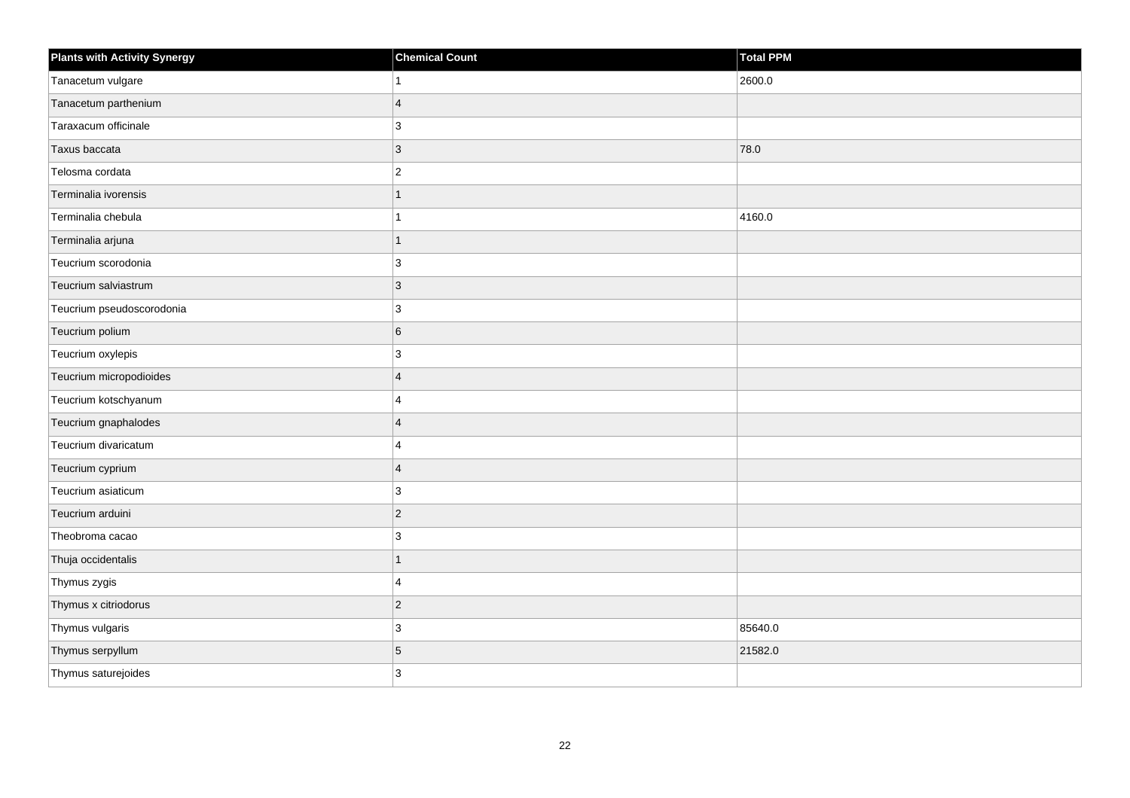| <b>Plants with Activity Synergy</b> | <b>Chemical Count</b> | <b>Total PPM</b> |
|-------------------------------------|-----------------------|------------------|
| Tanacetum vulgare                   | 1                     | 2600.0           |
| Tanacetum parthenium                | $\overline{4}$        |                  |
| Taraxacum officinale                | 3                     |                  |
| Taxus baccata                       | $\overline{3}$        | 78.0             |
| Telosma cordata                     | $\mathbf{2}$          |                  |
| Terminalia ivorensis                | $\overline{1}$        |                  |
| Terminalia chebula                  | 1                     | 4160.0           |
| Terminalia arjuna                   | $\overline{1}$        |                  |
| Teucrium scorodonia                 | 3                     |                  |
| Teucrium salviastrum                | $\mathbf{3}$          |                  |
| Teucrium pseudoscorodonia           | 3                     |                  |
| Teucrium polium                     | 6                     |                  |
| Teucrium oxylepis                   | $\mathbf{3}$          |                  |
| Teucrium micropodioides             | $\overline{4}$        |                  |
| Teucrium kotschyanum                | 4                     |                  |
| Teucrium gnaphalodes                | $\overline{4}$        |                  |
| Teucrium divaricatum                | 4                     |                  |
| Teucrium cyprium                    | $\overline{4}$        |                  |
| Teucrium asiaticum                  | 3                     |                  |
| Teucrium arduini                    | $\overline{2}$        |                  |
| Theobroma cacao                     | 3                     |                  |
| Thuja occidentalis                  | $\overline{1}$        |                  |
| Thymus zygis                        | $\overline{4}$        |                  |
| Thymus x citriodorus                | $\overline{c}$        |                  |
| Thymus vulgaris                     | 3                     | 85640.0          |
| Thymus serpyllum                    | 5                     | 21582.0          |
| Thymus saturejoides                 | 3                     |                  |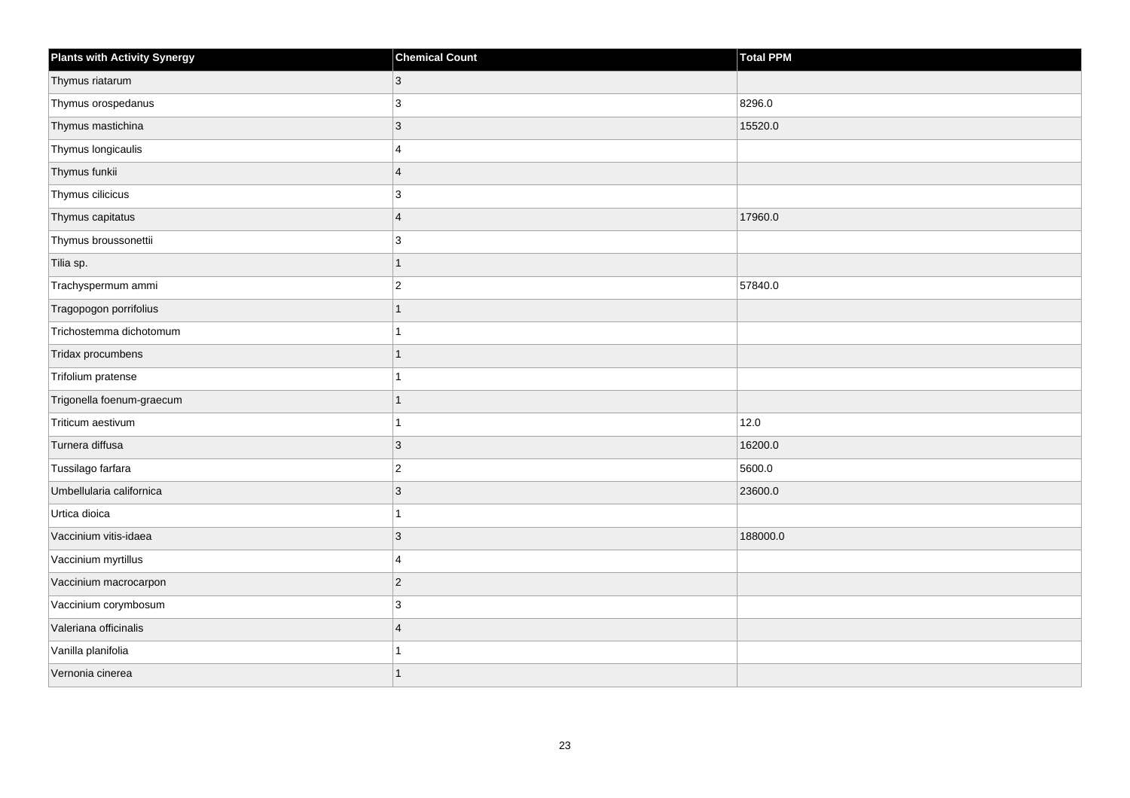| <b>Plants with Activity Synergy</b> | <b>Chemical Count</b>   | <b>Total PPM</b> |
|-------------------------------------|-------------------------|------------------|
| Thymus riatarum                     | 3                       |                  |
| Thymus orospedanus                  | 3                       | 8296.0           |
| Thymus mastichina                   | $\overline{3}$          | 15520.0          |
| Thymus longicaulis                  | 4                       |                  |
| Thymus funkii                       | $\overline{\mathbf{A}}$ |                  |
| Thymus cilicicus                    | 3                       |                  |
| Thymus capitatus                    | $\overline{4}$          | 17960.0          |
| Thymus broussonettii                | 3                       |                  |
| Tilia sp.                           | 1                       |                  |
| Trachyspermum ammi                  | $\overline{2}$          | 57840.0          |
| Tragopogon porrifolius              |                         |                  |
| Trichostemma dichotomum             |                         |                  |
| Tridax procumbens                   | 1                       |                  |
| Trifolium pratense                  |                         |                  |
| Trigonella foenum-graecum           |                         |                  |
| Triticum aestivum                   |                         | 12.0             |
| Turnera diffusa                     | 3                       | 16200.0          |
| Tussilago farfara                   | $\overline{2}$          | 5600.0           |
| Umbellularia californica            | $\overline{3}$          | 23600.0          |
| Urtica dioica                       |                         |                  |
| Vaccinium vitis-idaea               | 3                       | 188000.0         |
| Vaccinium myrtillus                 | 4                       |                  |
| Vaccinium macrocarpon               | $\overline{2}$          |                  |
| Vaccinium corymbosum                | 3                       |                  |
| Valeriana officinalis               | $\overline{\mathbf{A}}$ |                  |
| Vanilla planifolia                  |                         |                  |
| Vernonia cinerea                    |                         |                  |